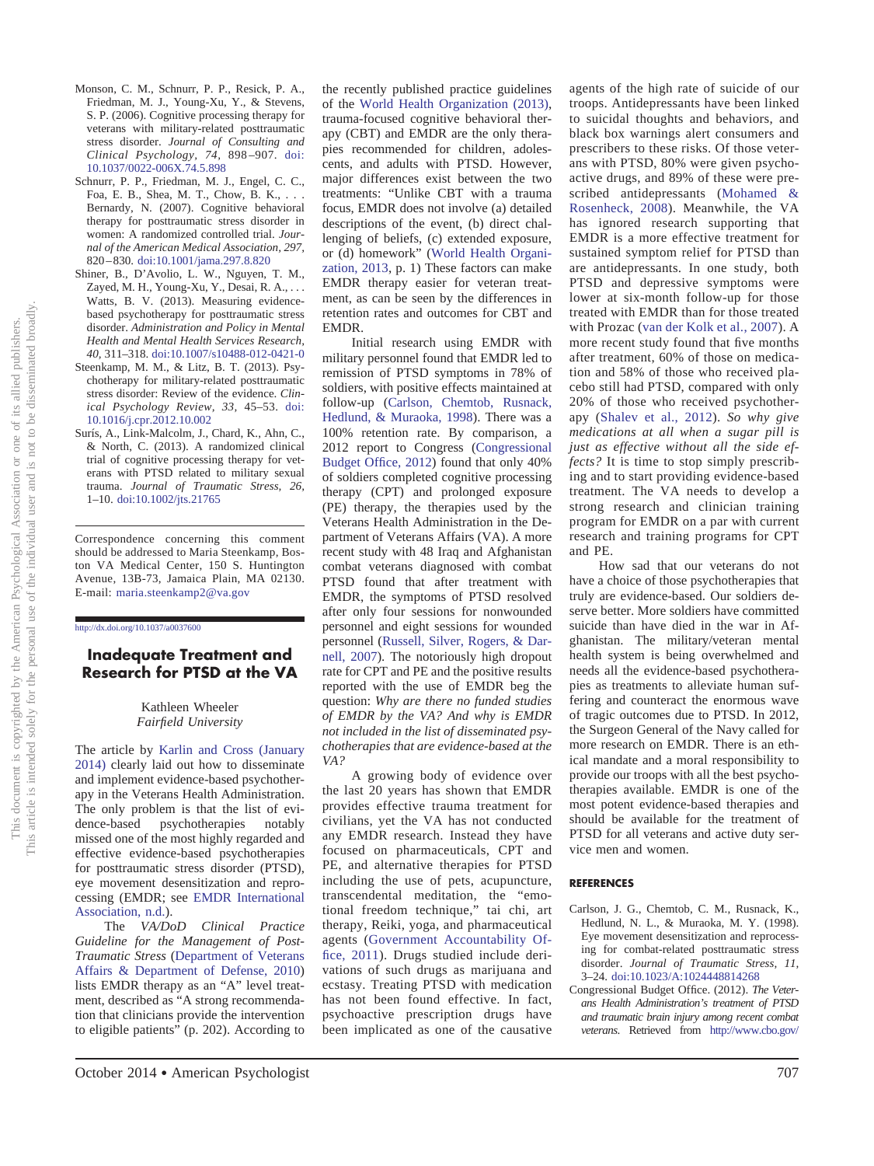- Monson, C. M., Schnurr, P. P., Resick, P. A., Friedman, M. J., Young-Xu, Y., & Stevens, S. P. (2006). Cognitive processing therapy for veterans with military-related posttraumatic stress disorder. *Journal of Consulting and Clinical Psychology, 74,* 898 –907. [doi:](http://dx.doi.org/10.1037/0022-006X.74.5.898) [10.1037/0022-006X.74.5.898](http://dx.doi.org/10.1037/0022-006X.74.5.898)
- Schnurr, P. P., Friedman, M. J., Engel, C. C., Foa, E. B., Shea, M. T., Chow, B. K.,... Bernardy, N. (2007). Cognitive behavioral therapy for posttraumatic stress disorder in women: A randomized controlled trial. *Jour*women. A randomized controlled that, *Journal of the American Medical Association, 297,* 820 – 830. [doi:10.1001/jama.297.8.820](http://dx.doi.org/10.1001/jama.297.8.820)
- Shiner, B., D'Avolio, L. W., Nguyen, T. M.,  $Zayed, M. H., Young-Xu, Y., Desai, R. A., \ldots$ Watts, B. V. (2013). Measuring evidencewatts, B. v. (2015). Measuring evidence-<br>based psychotherapy for posttraumatic stress based psycholicity for postmannance sitess<br>disorder. Administration and Policy in Mental *Health and Mental Health Services Research,* 40, 311-318. doi:10.1007/s10488-012-0421-0
- Steenkamp, M. M., & Litz, B. T. (2013). Psychotherapy for military-related posttraumatic stress disorder: Review of the evidence. *Clin-*<br>  $\frac{1}{2}$   $\frac{1}{2}$   $\frac{1}{2}$   $\frac{1}{2}$   $\frac{1}{2}$   $\frac{1}{2}$   $\frac{1}{2}$   $\frac{1}{2}$   $\frac{1}{2}$   $\frac{1}{2}$   $\frac{1}{2}$   $\frac{1}{2}$ *ical Psychology Review, 33,* 45–53. [doi:](http://dx.doi.org/10.1016/j.cpr.2012.10.002) [10.1016/j.cpr.2012.10.002](http://dx.doi.org/10.1016/j.cpr.2012.10.002)
- Surís, A., Link-Malcolm, J., Chard, K., Ahn, C., & North, C. (2013). A randomized clinical trial of cognitive processing therapy for veterans with PTSD related to military sexual **Concerns About the** trauma. *Journal of Traumatic Stress*, 26, 1–10. [doi:10.1002/jts.21765](http://dx.doi.org/10.1002/jts.21765) **Implementation of**

Correspondence concerning this comment should be addressed to Maria Steenkamp, Bos-<br>top MA Medical Center, 150 S. Huntington ton VA Medical Center, 150 S. Huntington Avenue, 13B-73, Jamaica Plain, MA 02130. E-mail: maria.steenkamp2@va.gov

**Evidence-Based**

### http://dx.doi.org[/10.1037/a0037600](http://dx.doi.org/10.1037/a0037600)

## **Inadequate Treatment and Research for PTSD at the VA**  $T_{\rm eff}$  the Department of  $\sigma$ pies (EBPs) include comprehensive training

## Kathleen Wheeler **Fairfield University** particular therapy

The article by Karlin and Cross (January 2014) clearly laid out how to disseminate and implement evidence-based psychotherapy in the Veterans Health Administration. The only problem is that the list of evidence-based psychotherapies notably missed one of the most highly regarded and effective evidence-based psychotherapies for posttraumatic stress disorder (PTSD), eye movement desensitization and reprocessing (EMDR; see EMDR International Association, n.d.).

The *VA/DoD Clinical Practice Guideline for the Management of Post-Traumatic Stress* (Department of Veterans Affairs  $\&$  Department of Defense, 2010) lists EMDR therapy as an "A" level treatment, described as "A strong recommendament, described as A strong recommenda-<br>tion that clinicians provide the intervention to eligible patients" (p. 202). According to  $\omega$  engine patients  $\psi$ .  $202$ ). According to the recently published practice guidelines the recently published practice guidelines<br>of the World Health Organization (2013),<br>trauma-focused cognitive behavioral ther-<br>apy (CBT) and EMDR are the only theratrauma-focused cognitive behavioral therapy (CBT) and EMDR are the only therapies recommended for children, adolescents, and adults with PTSD. However, major differences exist between the two treatments: "Unlike CBT with a trauma focus, EMDR does not involve (a) detailed descriptions of the event, (b) direct challenging of beliefs, (c) extended exposure, or (d) homework" (World Health Organization,  $2013$ , p. 1) These factors can make EMDR therapy easier for veteran treatment, as can be seen by the differences in retention rates and outcomes for CBT and<br>EMDP EMDR.

with.<br>Initial research using EMDR with military personnel found that EMDR led to remission of PTSD symptoms in 78% of  $\frac{1}{15}$  symptoms in  $\frac{1}{20}$  or  $\frac{1}{20}$  symptoms in  $\frac{1}{20}$  or  $\frac{1}{20}$ follow-up (Carlson, Chemtob, Rusnack, Hedlund, & Muraoka, 1998). There was a 100% retention rate. By comparison, a 2012 report to Congress (Congressional Budget Office, 2012) found that only 40% of soldiers completed cognitive processing therapy (CPT) and prolonged exposure (PE) therapy, the therapies used by the Veterans Health Administration in the Department of Veterans Affairs (VA). A more recent study with 48 Iraq and Afghanistan combat veterans diagnosed with combat PTSD found that after treatment with EMDR, the symptoms of PTSD resolved after only four sessions for nonwounded personnel and eight sessions for wounded personnel (Russell, Silver, Rogers, & Darnell,  $2007$ ). The notoriously high dropout rate for CPT and PE and the positive results<br>reported with the use of EMDP, has the reported with the use of EMDR beg the reported with the use of ENDK beg the<br>question: *Why are there no funded studies* question: *Why the there no junited stitutes*<br>of EMDR by the VA? And why is EMDR *not included in the list of disseminated psychotherapies that are evidence-based at the*<br>chotherapies that are evidence-based at the *VA?* some identified transfer that are superior to the area of the superior to the superior to the superior to the superior to the superior to the superior to the superior to the superior to the superior to the superior to the

A growing body of evidence over the last  $20$  years has shown that EMDR provides effective trauma treatment for civilians, yet the VA has not conducted any EMDR research. Instead they have focused on pharmaceuticals, CPT and PE, and alternative therapies for PTSD including the use of pets, acupuncture, transcendental meditation, the "emotional freedom technique," tai chi, art therapy, Reiki, yoga, and pharmaceutical agents (Government Accountability Office, 2011). Drugs studied include derivations of such drugs as marijuana and  $\overline{m}$ ecstasy. Treating PTSD with medication has not been found effective. In fact, has not been found effective. In fact,<br>psychoactive prescription drugs have psychoactive prescription drugs have<br>been implicated as one of the causative can impricated as one of the causalive

We believe that guidelines must do more to

agents of the high rate of suicide of our troops. Antidepressants have been linked to suicidal thoughts and behaviors, and black box warnings alert consumers and prescribers to these risks. Of those veterans with PTSD, 80% were given psychoactive drugs, and 89% of these were prescribed antidepressants (Mohamed & Rosenheck, 2008). Meanwhile, the VA has ignored research supporting that EMDR is a more effective treatment for sustained symptom relief for PTSD than are antidepressants. In one study, both PTSD and depressive symptoms were lower at  $six$ -month follow-up for those treated with EMDR than for those treated with Prozac (van der Kolk et al., 2007). A more recent study found that five months after treatment,  $60\%$  of those on medication and 58% of those who received placebo still had PTSD, compared with only zow still had a 13D, compared with only<br>20% of those who received psychotherzo so the best who received psycholities<br>apy (Shalev et al., 2012). *So why give* apy (Sharev et al., 2012). So why give<br>medications at all when a sugar pill is *lieutedions at all when a sugar put is*<br>*just as effective without all the side effects?* It is time to stop simply prescribrecess. It is time to step simply presents treatment. The VA needs to develop a strong research and clinician training program for EMDR on a par with current research and training programs for CPT and PE.  $t_{\rm F}$  mental health professionals.

How sad that our veterans do not have a choice of those psychotherapies that truly are evidence-based. Our soldiers deserve better. More soldiers have committed suicide than have died in the war in Afghanistan. The military/veteran mental health system is being overwhelmed and needs all the evidence-based psychotherapies as treatments to alleviate human suffering and counteract the enormous wave of tragic outcomes due to PTSD. In 2012, the Surgeon General of the Navy called for more research on EMDR. There is an ethical mandate and a moral responsibility to provide our troops with all the best psychotherapies available. EMDR is one of the most potent evidence-based therapies and should be available for the treatment of PTSD for all veterans and active duty service men and women.

## **REFERENCES**

- Carlson, J. G., Chemtob, C. M., Rusnack, K., rison, J. G., Chemioo, C. M., Rushack, K.,<br>Hedlund, N. L., & Muraoka, M. Y. (1998). Eye movement desensitization and reprocess-Eye increment desensitivation and represents disorder. Journal of Traumatic Stress, 11, 3-24. doi:10.1023/A:1024448814268
- Congressional Budget Office. (2012). The Veterans Health Administration's treatment of PTSD *and traumatic brain injury among recent combat*<br>ustangua<sub>s</sub> Detricted from http://www.ebo.com/ veterans. Retrieved from [http://www.cbo.gov/](http://www.cbo.gov/sites/default/files/cbofiles/attachments/02-09-PTSD.pdf)

(2011), rather than prepared treatments or  $\mathcal{C}$